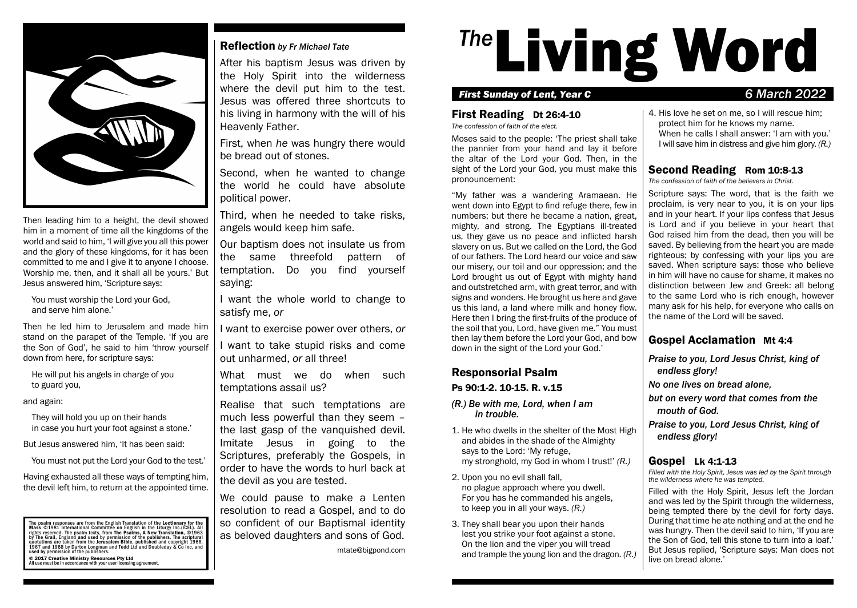

Then leading him to a height, the devil showed him in a moment of time all the kingdoms of the world and said to him, 'I will give you all this power and the glory of these kingdoms, for it has been committed to me and I give it to anyone I choose. Worship me, then, and it shall all be yours.' But Jesus answered him, 'Scripture says:

You must worship the Lord your God, and serve him alone.'

Then he led him to Jerusalem and made him stand on the parapet of the Temple. 'If you are the Son of God', he said to him 'throw yourself down from here, for scripture says:

He will put his angels in charge of you to guard you,

and again:

They will hold you up on their hands in case you hurt your foot against a stone.'

But Jesus answered him, 'It has been said:

You must not put the Lord your God to the test.'

Having exhausted all these ways of tempting him, the devil left him, to return at the appointed time.

The psalm responses are from the English Translation of the Lectionary for the<br>Mass ©1981 International Committee on English in the Liturgy Inc.(ICEL). All rights reserved. The psalm texts, from The Psalms, A New Transilationi, ©1963<br>by The Grail, England and used by permission of the publishers. The scriptural<br>quotations are taken from the Jerusalem Bible, published and copy © 2017 Creative Ministry Resources Pty Ltd All use must be in accordance with your user licensing agreement.

#### Reflection *by Fr Michael Tate*

After his baptism Jesus was driven by the Holy Spirit into the wilderness where the devil put him to the test. Jesus was offered three shortcuts to his living in harmony with the will of his Heavenly Father.

First, when *he* was hungry there would be bread out of stones.

Second, when he wanted to change the world he could have absolute political power.

Third, when he needed to take risks, angels would keep him safe.

Our baptism does not insulate us from the same threefold pattern of temptation. Do you find yourself saying:

I want the whole world to change to satisfy me, *or*

I want to exercise power over others, *or*

I want to take stupid risks and come out unharmed, *or* all three!

What must we do when such temptations assail us?

Realise that such temptations are much less powerful than they seem – the last gasp of the vanquished devil. Imitate Jesus in going to the Scriptures, preferably the Gospels, in order to have the words to hurl back at the devil as you are tested.

We could pause to make a Lenten resolution to read a Gospel, and to do so confident of our Baptismal identity as beloved daughters and sons of God.

mtate@bigpond.com

# <sup>The</sup>Living Word

#### *First Sunday of Lent, Year C 6 March 2022*

#### First Reading Dt 26:4-10

*The confession of faith of the elect.*

Moses said to the people: 'The priest shall take the pannier from your hand and lay it before the altar of the Lord your God. Then, in the sight of the Lord your God, you must make this pronouncement:

"My father was a wandering Aramaean. He went down into Egypt to find refuge there, few in numbers; but there he became a nation, great, mighty, and strong. The Egyptians ill-treated us, they gave us no peace and inflicted harsh slavery on us. But we called on the Lord, the God of our fathers. The Lord heard our voice and saw our misery, our toil and our oppression; and the Lord brought us out of Egypt with mighty hand and outstretched arm, with great terror, and with signs and wonders. He brought us here and gave us this land, a land where milk and honey flow. Here then I bring the first-fruits of the produce of the soil that you, Lord, have given me." You must then lay them before the Lord your God, and bow down in the sight of the Lord your God.'

# Responsorial Psalm

#### Ps 90:1-2. 10-15. R. v.15

- *(R.) Be with me, Lord, when I am in trouble.*
- 1. He who dwells in the shelter of the Most High and abides in the shade of the Almighty says to the Lord: 'My refuge, my stronghold, my God in whom I trust!' *(R.)*
- 2. Upon you no evil shall fall, no plague approach where you dwell. For you has he commanded his angels, to keep you in all your ways. *(R.)*
- 3. They shall bear you upon their hands lest you strike your foot against a stone. On the lion and the viper you will tread and trample the young lion and the dragon. *(R.)*

4. His love he set on me, so I will rescue him; protect him for he knows my name. When he calls I shall answer: 'I am with you.' I will save him in distress and give him glory. *(R.)*

# Second Reading Rom 10:8-13

*The confession of faith of the believers in Christ.*

Scripture says: The word, that is the faith we proclaim, is very near to you, it is on your lips and in your heart. If your lips confess that Jesus is Lord and if you believe in your heart that God raised him from the dead, then you will be saved. By believing from the heart you are made righteous; by confessing with your lips you are saved. When scripture says: those who believe in him will have no cause for shame, it makes no distinction between Jew and Greek: all belong to the same Lord who is rich enough, however many ask for his help, for everyone who calls on the name of the Lord will be saved.

# Gospel Acclamation Mt 4:4

*Praise to you, Lord Jesus Christ, king of endless glory!*

*No one lives on bread alone,*

*but on every word that comes from the mouth of God.*

*Praise to you, Lord Jesus Christ, king of endless glory!*

# Gospel Lk 4:1-13

*Filled with the Holy Spirit, Jesus was led by the Spirit through the wilderness where he was tempted.*

Filled with the Holy Spirit, Jesus left the Jordan and was led by the Spirit through the wilderness, being tempted there by the devil for forty days. During that time he ate nothing and at the end he was hungry. Then the devil said to him, 'If you are the Son of God, tell this stone to turn into a loaf.' But Jesus replied, 'Scripture says: Man does not live on bread alone.'